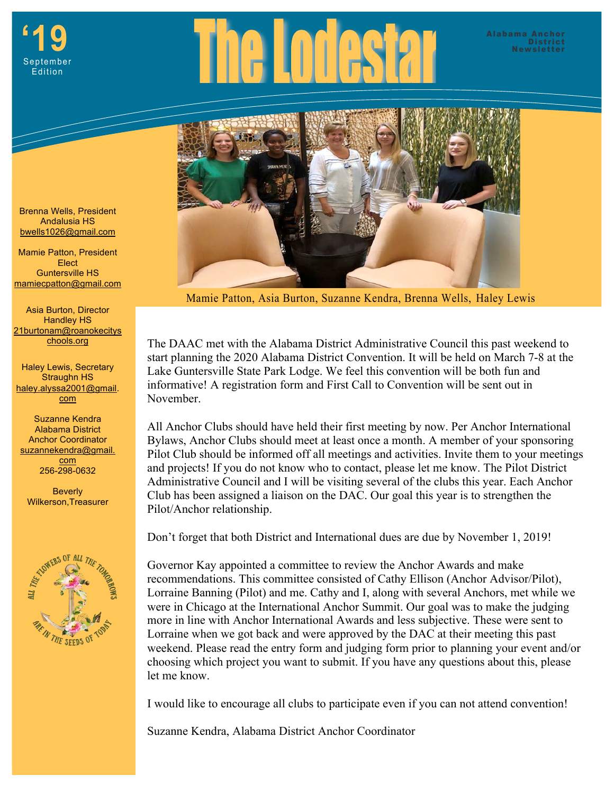



Mamie Patton, Asia Burton, Suzanne Kendra, Brenna Wells, Haley Lewis

The DAAC met with the Alabama District Administrative Council this past weekend to start planning the 2020 Alabama District Convention. It will be held on March 7-8 at the Lake Guntersville State Park Lodge. We feel this convention will be both fun and informative! A registration form and First Call to Convention will be sent out in November.

All Anchor Clubs should have held their first meeting by now. Per Anchor International Bylaws, Anchor Clubs should meet at least once a month. A member of your sponsoring Pilot Club should be informed off all meetings and activities. Invite them to your meetings and projects! If you do not know who to contact, please let me know. The Pilot District Administrative Council and I will be visiting several of the clubs this year. Each Anchor Club has been assigned a liaison on the DAC. Our goal this year is to strengthen the Pilot/Anchor relationship.

Don't forget that both District and International dues are due by November 1, 2019!

Governor Kay appointed a committee to review the Anchor Awards and make recommendations. This committee consisted of Cathy Ellison (Anchor Advisor/Pilot), Lorraine Banning (Pilot) and me. Cathy and I, along with several Anchors, met while we were in Chicago at the International Anchor Summit. Our goal was to make the judging more in line with Anchor International Awards and less subjective. These were sent to Lorraine when we got back and were approved by the DAC at their meeting this past weekend. Please read the entry form and judging form prior to planning your event and/or choosing which project you want to submit. If you have any questions about this, please let me know.

I would like to encourage all clubs to participate even if you can not attend convention!

Suzanne Kendra, Alabama District Anchor Coordinator

Brenna Wells, President Andalusia HS bwells1026@gmail.com

 mamiecpatton@gmail.com Mamie Patton, President Elect Guntersville HS

Asia Burton, Director Handley HS 21burtonam@roanokecitys chools.org

Haley Lewis, Secretary Straughn HS haley.alyssa2001@gmail. com

Suzanne Kendra Alabama District Anchor Coordinator suzannekendra@gmail. com 256-298-0632

**Beverly** Wilkerson,Treasurer

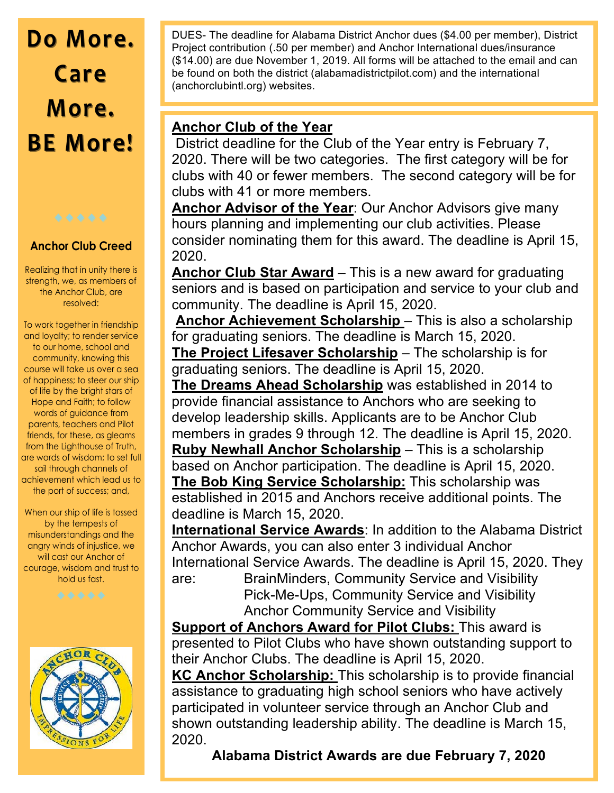# **Do More. Do More. Care More. BE More! BE More!**



### **Anchor Club Creed**

Realizing that in unity there is strength, we, as members of the Anchor Club, are resolved:

To work together in friendship and loyalty; to render service to our home, school and community, knowing this course will take us over a sea of happiness; to steer our ship of life by the bright stars of Hope and Faith; to follow words of guidance from parents, teachers and Pilot friends, for these, as gleams from the Lighthouse of Truth, are words of wisdom; to set full sail through channels of achievement which lead us to the port of success; and,

When our ship of life is tossed by the tempests of misunderstandings and the angry winds of injustice, we will cast our Anchor of courage, wisdom and trust to hold us fast.



 $\mathcal{L}$  , where  $\mathcal{L}$  is the contract to  $\mathcal{L}$ DUES- The deadline for Alabama District Anchor dues (\$4.00 per member), District Project contribution (.50 per member) and Anchor International dues/insurance (\$14.00) are due November 1, 2019. All forms will be attached to the email and can be found on both the district (alabamadistrictpilot.com) and the international (anchorclubintl.org) websites.

### **Anchor Club of the Year**

 District deadline for the Club of the Year entry is February 7, 2020. There will be two categories. The first category will be for clubs with 40 or fewer members. The second category will be for clubs with 41 or more members.

**Anchor Advisor of the Year**: Our Anchor Advisors give many hours planning and implementing our club activities. Please consider nominating them for this award. The deadline is April 15, 2020.

**Anchor Club Star Award** – This is a new award for graduating seniors and is based on participation and service to your club and community. The deadline is April 15, 2020.

**Anchor Achievement Scholarship** – This is also a scholarship for graduating seniors. The deadline is March 15, 2020.

**The Project Lifesaver Scholarship** – The scholarship is for graduating seniors. The deadline is April 15, 2020.

**The Dreams Ahead Scholarship** was established in 2014 to provide financial assistance to Anchors who are seeking to develop leadership skills. Applicants are to be Anchor Club members in grades 9 through 12. The deadline is April 15, 2020. **Ruby Newhall Anchor Scholarship** – This is a scholarship based on Anchor participation. The deadline is April 15, 2020. **The Bob King Service Scholarship:** This scholarship was established in 2015 and Anchors receive additional points. The deadline is March 15, 2020.

**International Service Awards**: In addition to the Alabama District Anchor Awards, you can also enter 3 individual Anchor International Service Awards. The deadline is April 15, 2020. They

are: BrainMinders, Community Service and Visibility Pick-Me-Ups, Community Service and Visibility Anchor Community Service and Visibility

**Support of Anchors Award for Pilot Clubs:** This award is presented to Pilot Clubs who have shown outstanding support to their Anchor Clubs. The deadline is April 15, 2020.

**KC Anchor Scholarship:** This scholarship is to provide financial assistance to graduating high school seniors who have actively participated in volunteer service through an Anchor Club and shown outstanding leadership ability. The deadline is March 15, 2020.

**Alabama District Awards are due February 7, 2020**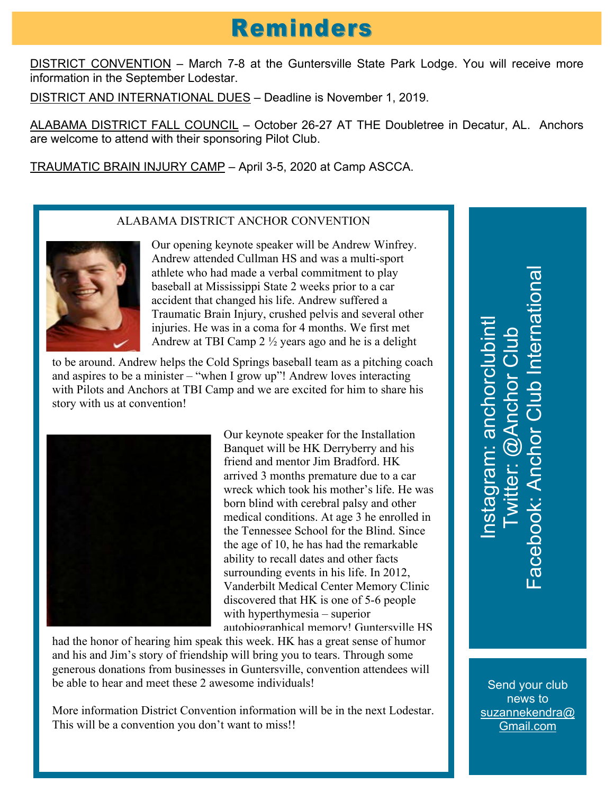## **Reminders**

DISTRICT CONVENTION - March 7-8 at the Guntersville State Park Lodge. You will receive more information in the September Lodestar.

DISTRICT AND INTERNATIONAL DUES – Deadline is November 1, 2019.

ALABAMA DISTRICT FALL COUNCIL - October 26-27 AT THE Doubletree in Decatur, AL. Anchors are welcome to attend with their sponsoring Pilot Club.

TRAUMATIC BRAIN INJURY CAMP – April 3-5, 2020 at Camp ASCCA.

### ALABAMA DISTRICT ANCHOR CONVENTION



Our opening keynote speaker will be Andrew Winfrey. Andrew attended Cullman HS and was a multi-sport athlete who had made a verbal commitment to play baseball at Mississippi State 2 weeks prior to a car accident that changed his life. Andrew suffered a Traumatic Brain Injury, crushed pelvis and several other injuries. He was in a coma for 4 months. We first met Andrew at TBI Camp 2 ½ years ago and he is a delight

to be around. Andrew helps the Cold Springs baseball team as a pitching coach and aspires to be a minister – "when I grow up"! Andrew loves interacting with Pilots and Anchors at TBI Camp and we are excited for him to share his story with us at convention!



Our keynote speaker for the Installation Banquet will be HK Derryberry and his friend and mentor Jim Bradford. HK arrived 3 months premature due to a car wreck which took his mother's life. He was born blind with cerebral palsy and other medical conditions. At age 3 he enrolled in the Tennessee School for the Blind. Since the age of 10, he has had the remarkable ability to recall dates and other facts surrounding events in his life. In 2012, Vanderbilt Medical Center Memory Clinic discovered that HK is one of 5-6 people with hyperthymesia – superior autobiographical memory! Guntersville HS

had the honor of hearing him speak this week. HK has a great sense of humor and his and Jim's story of friendship will bring you to tears. Through some generous donations from businesses in Guntersville, convention attendees will be able to hear and meet these 2 awesome individuals!

More information District Convention information will be in the next Lodestar. This will be a convention you don't want to miss!!

Facebook: Anchor Club International acebook: Anchor Club Internationa Instagram: anchorclubintl nstagram: anchorclubint Twitter: @Anchor Club witter: @Anchor Club

Send your club news to suzannekendra@ Gmail.com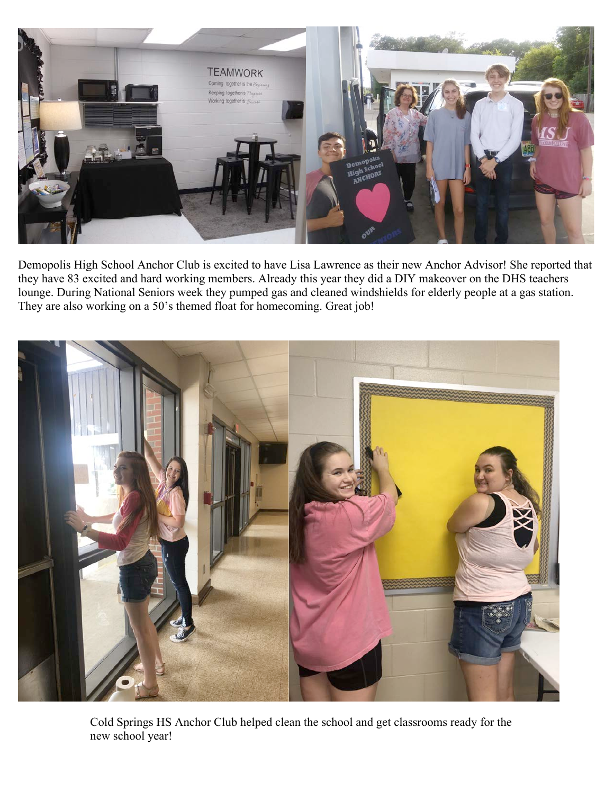

Demopolis High School Anchor Club is excited to have Lisa Lawrence as their new Anchor Advisor! She reported that they have 83 excited and hard working members. Already this year they did a DIY makeover on the DHS teachers lounge. During National Seniors week they pumped gas and cleaned windshields for elderly people at a gas station. They are also working on a 50's themed float for homecoming. Great job!



Cold Springs HS Anchor Club helped clean the school and get classrooms ready for the new school year!